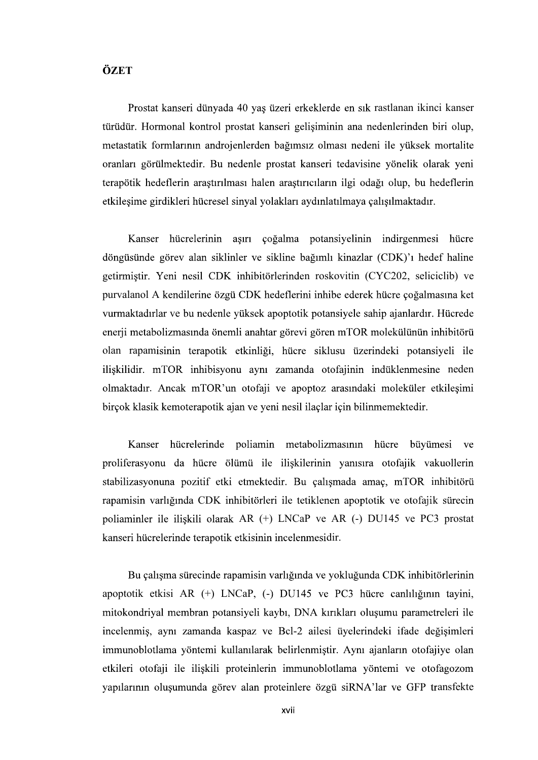## ÖZET

Prostat kanseri dünyada 40 yaş üzeri erkeklerde en sık rastlanan ikinci kanser metastatik formlarının androjenlerden bağımsız olması nedeni ile yüksek mortalite oranları görülmektedir. Bu nedenle prostat kanseri tedavisine yönelik olarak yeni terapötik hedeflerin araştırılması halen araştırıcıların ilgi odağı olup, bu hedeflerin etkileşime girdikleri hücresel sinyal yolakları aydınlatılmaya çalışılmaktadır.

Kanser hücrelerinin aşırı çoğalma potansiyelinin indirgenmesi hücre döngüsünde görev alan siklinler ve sikline bağımlı kinazlar (CDK)'ı hedef haline getirmiştir. Yeni nesil CDK inhibitörlerinden roskovitin (CYC202, seliciclib) ve purvalanol A kendilerine özgü CDK hedeflerini inhibe ederek hücre çoğalmasına ket vurmaktadırlar ve bu nedenle yüksek apoptotik potansiyele sahip ajanlardır. Hücrede enerji metabolizmasında önemli anahtar görevi gören mTOR molekülünün inhibitörü olan rapamisinin terapotik etkinliği, hücre siklusu üzerindeki potansiyeli ile ilişkilidir. mTOR inhibisyonu aynı zamanda otofajinin indüklenmesine neden olmaktadır. Ancak mTOR'un otofaji ve apoptoz arasındaki moleküler etkileşimi<br>birçok klasik kemoterapotik ajan ve yeni nesil ilaçlar için bilinmemektedir.<br>Kanser hücrelerinde poliamin metabolizmasının hücre büyümesi ve

proliferasyonu da hücre ölümü ile ilişkilerinin yanısıra otofajik vakuollerin stabilizasyonuna pozitif etki etmektedir. Bu çalışmada amaç, mTOR inhibitörü rapamisin varlığında CDK inhibitörleri ile tetiklenen apoptotik ve otofajik sürecin poliaminler ile iliskili olarak AR (+) LNCaP ve AR (-) DU145 ve PC3 prostat kanseri hücrelerinde terapotik etkisinin incelenmesidir.

Bu çalışma sürecinde rapamisin varlığında ve yokluğunda CDK inhibitörlerinin apoptotik etkisi AR (+) LNCaP, (-) DU145 ve PC3 hücre canlılığının tayini, mitokondriyal membran potansiyeli kaybı, DNA kırıkları oluşumu parametreleri ile incelenmis, aynı zamanda kaspaz ve Bcl-2 ailesi üyelerindeki ifade değişimleri immunoblotlama yöntemi kullanılarak belirlenmiştir. Aynı ajanların otofajiye olan etkileri otofaji ile iliskili proteinlerin immunoblotlama yöntemi ve otofagozom yapılarının oluşumunda görev alan proteinlere özgü siRNA'lar ve GFP transfekte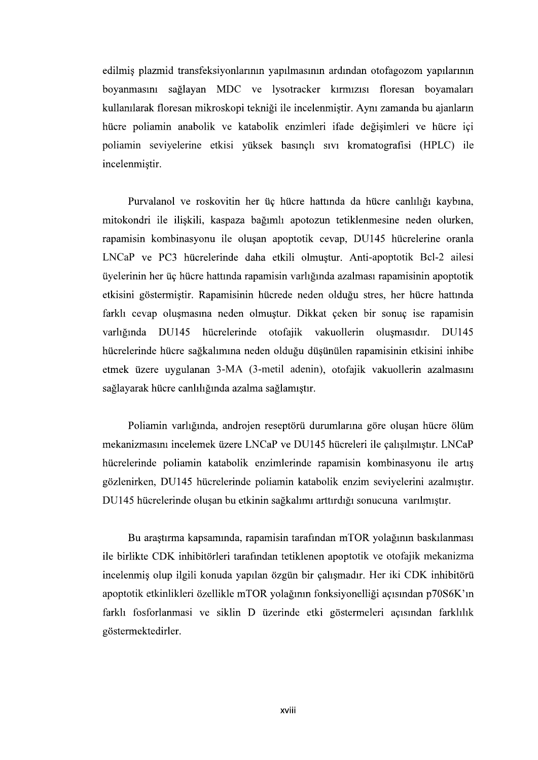edilmiş plazmid transfeksiyonlarının yapılmasının ardından otofagozom yapılarının boyanmasını sağlayan MDC ve lysotracker kırmızısı floresan boyamaları kullanılarak floresan mikroskopi tekniği ile incelenmiştir. Aynı zamanda bu ajanların hücre poliamin anabolik ve katabolik enzimleri ifade değişimleri ve hücre içi poliamin seviyelerine etkisi yüksek basınçlı sıvı kromatografisi (HPLC) ile incelenmistir.

Purvalanol ve roskovitin her üç hücre hattında da hücre canlılığı kaybına, mitokondri ile ilişkili, kaspaza bağımlı apotozun tetiklenmesine neden olurken, rapamisin kombinasyonu ile oluşan apoptotik cevap, DU145 hücrelerine oranla LNCaP ve PC3 hücrelerinde daha etkili olmuştur. Anti-apoptotik Bcl-2 ailesi üyelerinin her üç hücre hattında rapamisin varlığında azalması rapamisinin apoptotik etkisini göstermiştir. Rapamisinin hücrede neden olduğu stres, her hücre hattında farklı cevap oluşmasına neden olmuştur. Dikkat çeken bir sonuç ise rapamisin varlığında DU145 hücrelerinde otofajik vakuollerin oluşmasıdır. DU145 hücrelerinde hücre sağkalımına neden olduğu düşünülen rapamisinin etkisini inhibe etmek üzere uygulanan 3-MA (3-metil adenin), otofajik vakuollerin azalmasını sağlayarak hücre canlılığında azalma sağlamıştır.

Poliamin varlığında, androjen reseptörü durumlarına göre oluşan hücre ölüm mekanizmasını incelemek üzere LNCaP ve DU145 hücreleri ile çalışılmıştır. LNCaP hücrelerinde poliamin katabolik enzimlerinde rapamisin kombinasyonu ile artış gözlenirken, DU145 hücrelerinde poliamin katabolik enzim seviyelerini azalmıştır. DU145 hücrelerinde oluşan bu etkinin sağkalımı arttırdığı sonucuna varılmıştır.

Bu araştırma kapsamında, rapamisin tarafından mTOR yolağının baskılanması ile birlikte CDK inhibitörleri tarafından tetiklenen apoptotik ve otofajik mekanizma incelenmiş olup ilgili konuda yapılan özgün bir çalışmadır. Her iki CDK inhibitörü apoptotik etkinlikleri özellikle mTOR yolağının fonksiyonelliği açısından p70S6K'ın farklı fosforlanmasi ve siklin D üzerinde etki göstermeleri açısından farklılık göstermektedirler.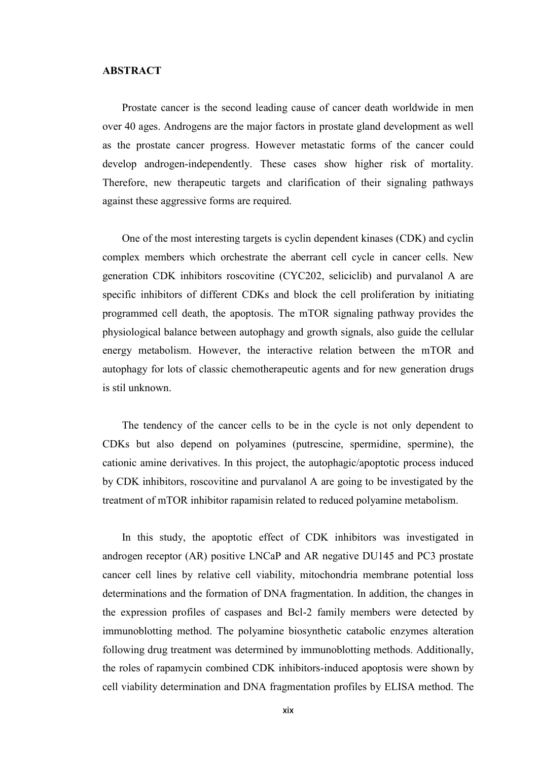## ABSTRACT

Prostate cancer is the second leading cause of cancer death worldwide in men over 40 ages. Androgens are the major factors in prostate gland development as well as the prostate cancer progress. However metastatic forms of the cancer could develop androgen-independently. These cases show higher risk of mortality. Therefore, new therapeutic targets and clarification of their signaling pathways against these aggressive forms are required.

One of the most interesting targets is cyclin dependent kinases (CDK) and cyclin complex members which orchestrate the aberrant cell cycle in cancer cells. New generation CDK inhibitors roscovitine (CYC202, seliciclib) and purvalanol A are specific inhibitors of different CDKs and block the cell proliferation by initiating programmed cell death, the apoptosis. The mTOR signaling pathway provides the physiological balance between autophagy and growth signals, also guide the cellular energy metabolism. However, the interactive relation between the mTOR and autophagy for lots of classic chemotherapeutic agents and for new generation drugs is stil unknown.

The tendency of the cancer cells to be in the cycle is not only dependent to CDKs but also depend on polyamines (putrescine, spermidine, spermine), the cationic amine derivatives. In this project, the autophagic/apoptotic process induced by CDK inhibitors, roscovitine and purvalanol A are going to be investigated by the treatment of mTOR inhibitor rapamisin related to reduced polyamine metabolism.

In this study, the apoptotic effect of CDK inhibitors was investigated in androgen receptor (AR) positive LNCaP and AR negative DU145 and PC3 prostate cancer cell lines by relative cell viability, mitochondria membrane potential loss determinations and the formation of DNA fragmentation. In addition, the changes in the expression profiles of caspases and Bcl-2 family members were detected by immunoblotting method. The polyamine biosynthetic catabolic enzymes alteration following drug treatment was determined by immunoblotting methods. Additionally, the roles of rapamycin combined CDK inhibitors-induced apoptosis were shown by cell viability determination and DNA fragmentation profiles by ELISA method. The